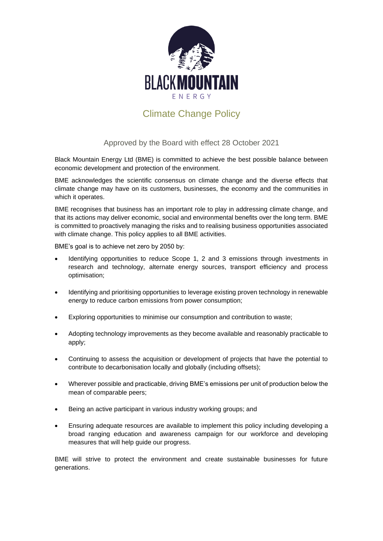

## Climate Change Policy

## Approved by the Board with effect 28 October 2021

Black Mountain Energy Ltd (BME) is committed to achieve the best possible balance between economic development and protection of the environment.

BME acknowledges the scientific consensus on climate change and the diverse effects that climate change may have on its customers, businesses, the economy and the communities in which it operates.

BME recognises that business has an important role to play in addressing climate change, and that its actions may deliver economic, social and environmental benefits over the long term. BME is committed to proactively managing the risks and to realising business opportunities associated with climate change. This policy applies to all BME activities.

BME's goal is to achieve net zero by 2050 by:

- Identifying opportunities to reduce Scope 1, 2 and 3 emissions through investments in research and technology, alternate energy sources, transport efficiency and process optimisation;
- Identifying and prioritising opportunities to leverage existing proven technology in renewable energy to reduce carbon emissions from power consumption;
- Exploring opportunities to minimise our consumption and contribution to waste;
- Adopting technology improvements as they become available and reasonably practicable to apply;
- Continuing to assess the acquisition or development of projects that have the potential to contribute to decarbonisation locally and globally (including offsets);
- Wherever possible and practicable, driving BME's emissions per unit of production below the mean of comparable peers;
- Being an active participant in various industry working groups; and
- Ensuring adequate resources are available to implement this policy including developing a broad ranging education and awareness campaign for our workforce and developing measures that will help guide our progress.

BME will strive to protect the environment and create sustainable businesses for future generations.